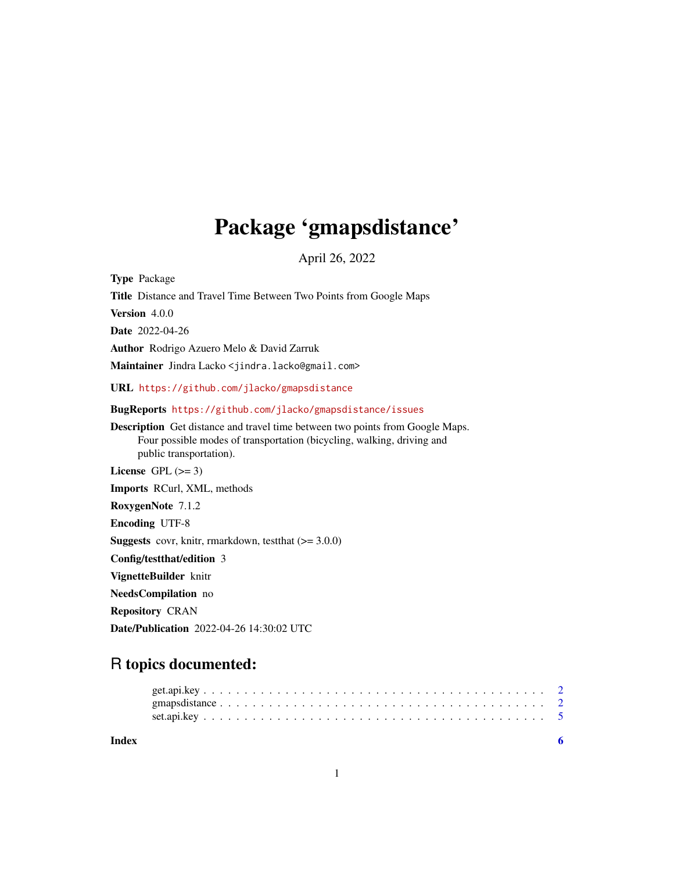# Package 'gmapsdistance'

April 26, 2022

Type Package Title Distance and Travel Time Between Two Points from Google Maps Version 4.0.0 Date 2022-04-26 Author Rodrigo Azuero Melo & David Zarruk Maintainer Jindra Lacko <jindra.lacko@gmail.com> URL <https://github.com/jlacko/gmapsdistance> BugReports <https://github.com/jlacko/gmapsdistance/issues> Description Get distance and travel time between two points from Google Maps. Four possible modes of transportation (bicycling, walking, driving and public transportation). License GPL  $(>= 3)$ Imports RCurl, XML, methods RoxygenNote 7.1.2 Encoding UTF-8 **Suggests** covr, knitr, rmarkdown, test that  $(>= 3.0.0)$ Config/testthat/edition 3 VignetteBuilder knitr NeedsCompilation no Repository CRAN Date/Publication 2022-04-26 14:30:02 UTC

# R topics documented: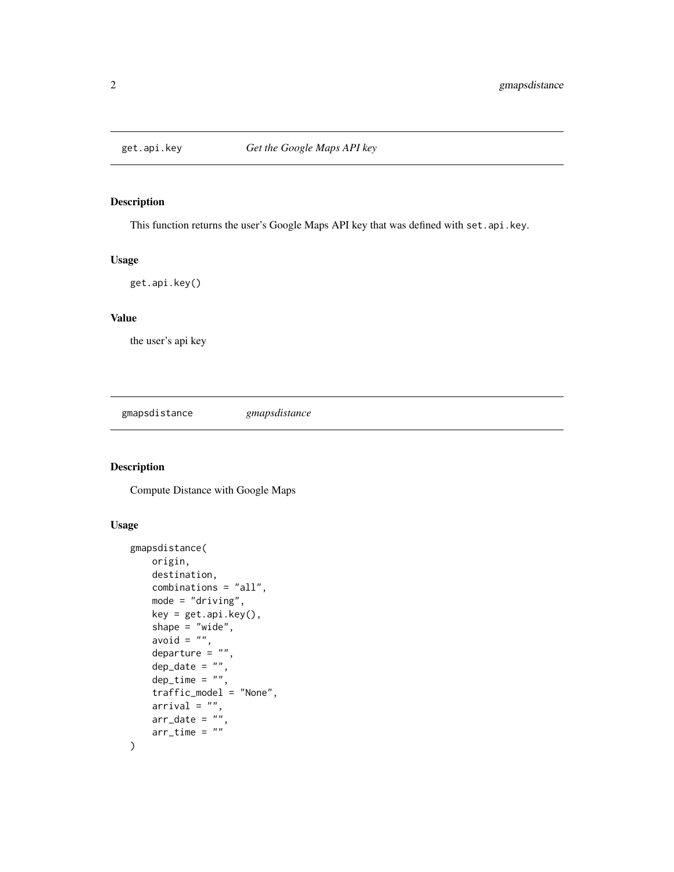<span id="page-1-0"></span>

#### Description

This function returns the user's Google Maps API key that was defined with set.api.key.

#### Usage

get.api.key()

#### Value

the user's api key

gmapsdistance *gmapsdistance*

### Description

Compute Distance with Google Maps

#### Usage

```
gmapsdistance(
   origin,
    destination,
   combinations = "all",
   mode = "driving",
   key = get.api.key(),
    shape = "wide",
    avoid = ",
   departure = ",
    dep\_date = "",dep_time = "".traffic_model = "None",
    arrival = "",arr\_date = ""arr_time = ""\mathcal{L}
```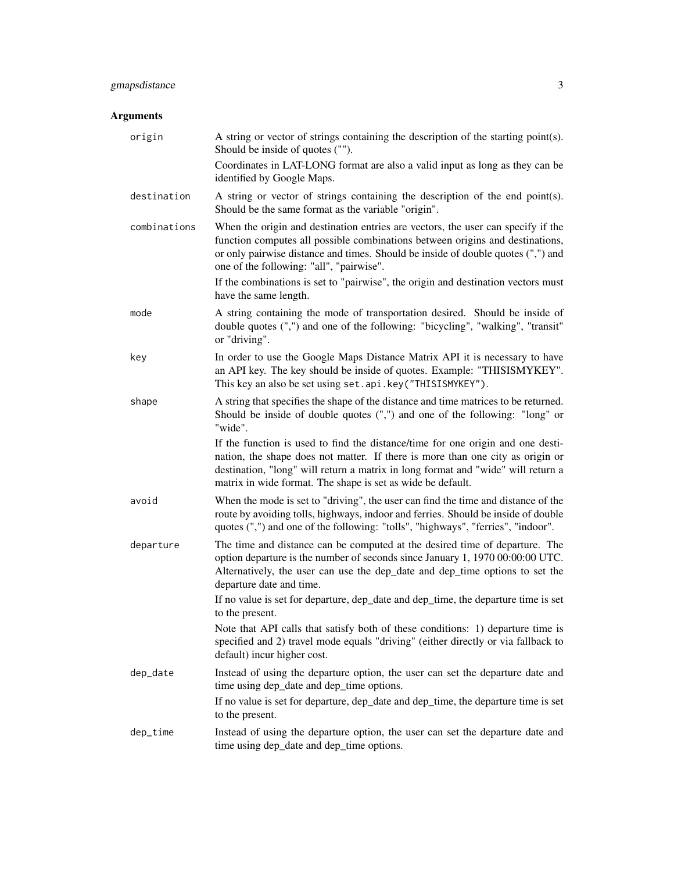## gmapsdistance 3

## Arguments

| origin       | A string or vector of strings containing the description of the starting point(s).<br>Should be inside of quotes ("").                                                                                                                                                                                               |
|--------------|----------------------------------------------------------------------------------------------------------------------------------------------------------------------------------------------------------------------------------------------------------------------------------------------------------------------|
|              | Coordinates in LAT-LONG format are also a valid input as long as they can be<br>identified by Google Maps.                                                                                                                                                                                                           |
| destination  | A string or vector of strings containing the description of the end point(s).<br>Should be the same format as the variable "origin".                                                                                                                                                                                 |
| combinations | When the origin and destination entries are vectors, the user can specify if the<br>function computes all possible combinations between origins and destinations,<br>or only pairwise distance and times. Should be inside of double quotes (",") and<br>one of the following: "all", "pairwise".                    |
|              | If the combinations is set to "pairwise", the origin and destination vectors must<br>have the same length.                                                                                                                                                                                                           |
| mode         | A string containing the mode of transportation desired. Should be inside of<br>double quotes (",") and one of the following: "bicycling", "walking", "transit"<br>or "driving".                                                                                                                                      |
| key          | In order to use the Google Maps Distance Matrix API it is necessary to have<br>an API key. The key should be inside of quotes. Example: "THISISMYKEY".<br>This key an also be set using set. api.key("THISISMYKEY").                                                                                                 |
| shape        | A string that specifies the shape of the distance and time matrices to be returned.<br>Should be inside of double quotes (",") and one of the following: "long" or<br>"wide".                                                                                                                                        |
|              | If the function is used to find the distance/time for one origin and one desti-<br>nation, the shape does not matter. If there is more than one city as origin or<br>destination, "long" will return a matrix in long format and "wide" will return a<br>matrix in wide format. The shape is set as wide be default. |
| avoid        | When the mode is set to "driving", the user can find the time and distance of the<br>route by avoiding tolls, highways, indoor and ferries. Should be inside of double<br>quotes (",") and one of the following: "tolls", "highways", "ferries", "indoor".                                                           |
| departure    | The time and distance can be computed at the desired time of departure. The<br>option departure is the number of seconds since January 1, 1970 00:00:00 UTC.<br>Alternatively, the user can use the dep_date and dep_time options to set the<br>departure date and time.                                             |
|              | If no value is set for departure, dep_date and dep_time, the departure time is set<br>to the present.                                                                                                                                                                                                                |
|              | Note that API calls that satisfy both of these conditions: 1) departure time is<br>specified and 2) travel mode equals "driving" (either directly or via fallback to<br>default) incur higher cost.                                                                                                                  |
| dep_date     | Instead of using the departure option, the user can set the departure date and<br>time using dep_date and dep_time options.                                                                                                                                                                                          |
|              | If no value is set for departure, dep_date and dep_time, the departure time is set<br>to the present.                                                                                                                                                                                                                |
| dep_time     | Instead of using the departure option, the user can set the departure date and<br>time using dep_date and dep_time options.                                                                                                                                                                                          |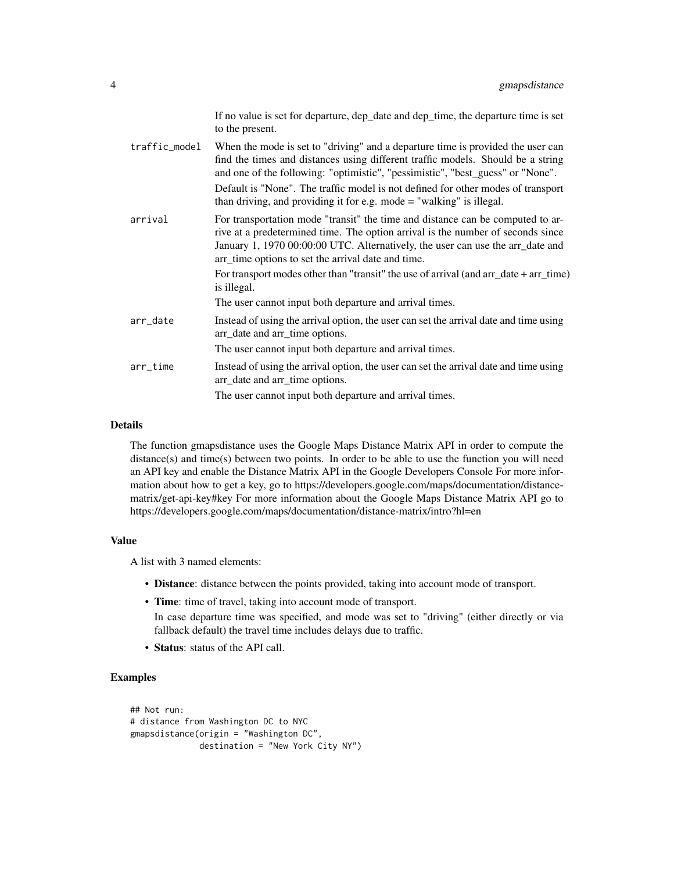|               | If no value is set for departure, dep_date and dep_time, the departure time is set<br>to the present.                                                                                                                                                                                                     |
|---------------|-----------------------------------------------------------------------------------------------------------------------------------------------------------------------------------------------------------------------------------------------------------------------------------------------------------|
| traffic_model | When the mode is set to "driving" and a departure time is provided the user can<br>find the times and distances using different traffic models. Should be a string<br>and one of the following: "optimistic", "pessimistic", "best_guess" or "None".                                                      |
|               | Default is "None". The traffic model is not defined for other modes of transport<br>than driving, and providing it for e.g. mode $=$ "walking" is illegal.                                                                                                                                                |
| arrival       | For transportation mode "transit" the time and distance can be computed to ar-<br>rive at a predetermined time. The option arrival is the number of seconds since<br>January 1, 1970 00:00:00 UTC. Alternatively, the user can use the arr_date and<br>arr_time options to set the arrival date and time. |
|               | For transport modes other than "transit" the use of arrival (and arr_date + arr_time)<br>is illegal.                                                                                                                                                                                                      |
|               | The user cannot input both departure and arrival times.                                                                                                                                                                                                                                                   |
| arr_date      | Instead of using the arrival option, the user can set the arrival date and time using<br>arr_date and arr_time options.                                                                                                                                                                                   |
|               | The user cannot input both departure and arrival times.                                                                                                                                                                                                                                                   |
| $arr$ _time   | Instead of using the arrival option, the user can set the arrival date and time using<br>arr_date and arr_time options.                                                                                                                                                                                   |
|               | The user cannot input both departure and arrival times.                                                                                                                                                                                                                                                   |

#### Details

The function gmapsdistance uses the Google Maps Distance Matrix API in order to compute the distance(s) and time(s) between two points. In order to be able to use the function you will need an API key and enable the Distance Matrix API in the Google Developers Console For more information about how to get a key, go to https://developers.google.com/maps/documentation/distancematrix/get-api-key#key For more information about the Google Maps Distance Matrix API go to https://developers.google.com/maps/documentation/distance-matrix/intro?hl=en

#### Value

A list with 3 named elements:

- Distance: distance between the points provided, taking into account mode of transport.
- Time: time of travel, taking into account mode of transport.

In case departure time was specified, and mode was set to "driving" (either directly or via fallback default) the travel time includes delays due to traffic.

• Status: status of the API call.

#### Examples

```
## Not run:
# distance from Washington DC to NYC
gmapsdistance(origin = "Washington DC",
             destination = "New York City NY")
```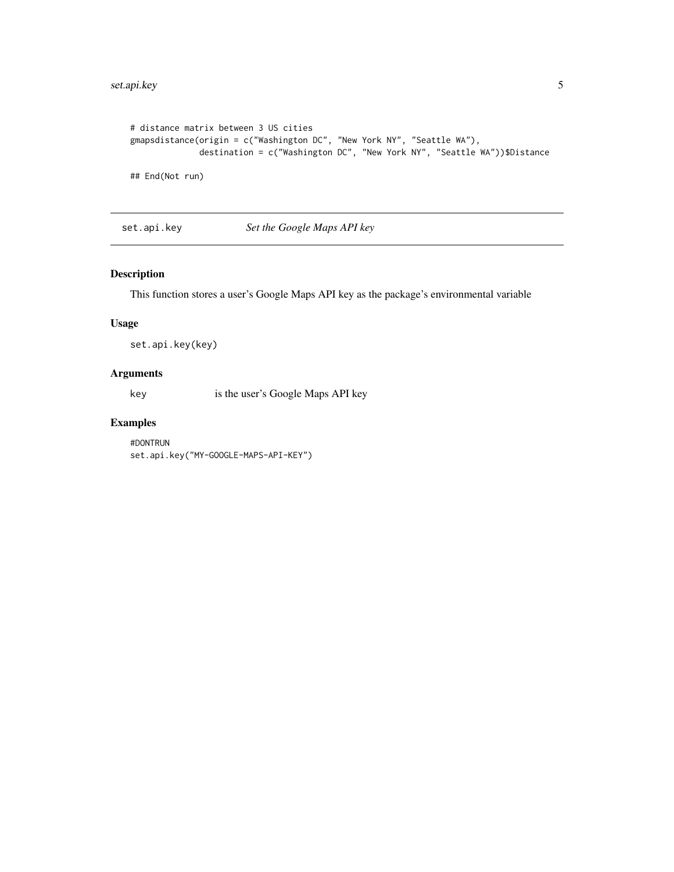```
# distance matrix between 3 US cities
gmapsdistance(origin = c("Washington DC", "New York NY", "Seattle WA"),
             destination = c("Washington DC", "New York NY", "Seattle WA"))$Distance
## End(Not run)
```
set.api.key *Set the Google Maps API key*

#### Description

This function stores a user's Google Maps API key as the package's environmental variable

#### Usage

set.api.key(key)

#### Arguments

key is the user's Google Maps API key

#### Examples

#DONTRUN set.api.key("MY-GOOGLE-MAPS-API-KEY")